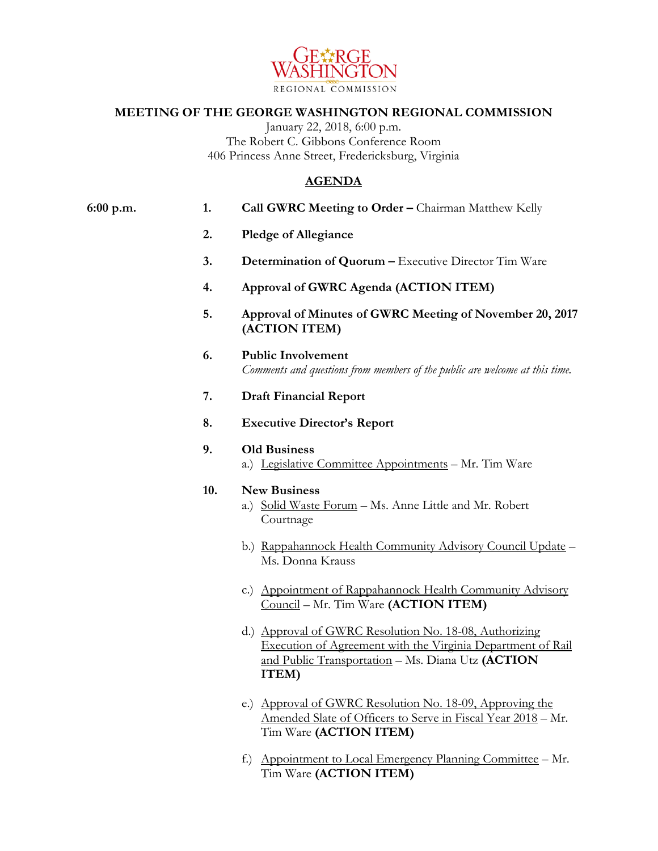

## **MEETING OF THE GEORGE WASHINGTON REGIONAL COMMISSION**

January 22, 2018, 6:00 p.m. The Robert C. Gibbons Conference Room 406 Princess Anne Street, Fredericksburg, Virginia

## **AGENDA**

| 6:00 p.m. | 1.  | Call GWRC Meeting to Order - Chairman Matthew Kelly                                                                                                                                 |
|-----------|-----|-------------------------------------------------------------------------------------------------------------------------------------------------------------------------------------|
|           | 2.  | <b>Pledge of Allegiance</b>                                                                                                                                                         |
|           | 3.  | Determination of Quorum - Executive Director Tim Ware                                                                                                                               |
|           | 4.  | Approval of GWRC Agenda (ACTION ITEM)                                                                                                                                               |
|           | 5.  | Approval of Minutes of GWRC Meeting of November 20, 2017<br>(ACTION ITEM)                                                                                                           |
|           | 6.  | <b>Public Involvement</b><br>Comments and questions from members of the public are welcome at this time.                                                                            |
|           | 7.  | <b>Draft Financial Report</b>                                                                                                                                                       |
|           | 8.  | <b>Executive Director's Report</b>                                                                                                                                                  |
|           | 9.  | <b>Old Business</b><br>a.) Legislative Committee Appointments - Mr. Tim Ware                                                                                                        |
|           | 10. | <b>New Business</b><br>a.) Solid Waste Forum - Ms. Anne Little and Mr. Robert<br>Courtnage                                                                                          |
|           |     | b.) Rappahannock Health Community Advisory Council Update -<br>Ms. Donna Krauss                                                                                                     |
|           |     | c.) Appointment of Rappahannock Health Community Advisory<br>Council - Mr. Tim Ware (ACTION ITEM)                                                                                   |
|           |     | d.) Approval of GWRC Resolution No. 18-08, Authorizing<br>Execution of Agreement with the Virginia Department of Rail<br>and Public Transportation - Ms. Diana Utz (ACTION<br>ITEM) |
|           |     | Approval of GWRC Resolution No. 18-09, Approving the<br>(e.)                                                                                                                        |

Tim Ware **(ACTION ITEM)** f.) Appointment to Local Emergency Planning Committee – Mr. Tim Ware **(ACTION ITEM)**

Amended Slate of Officers to Serve in Fiscal Year 2018 – Mr.